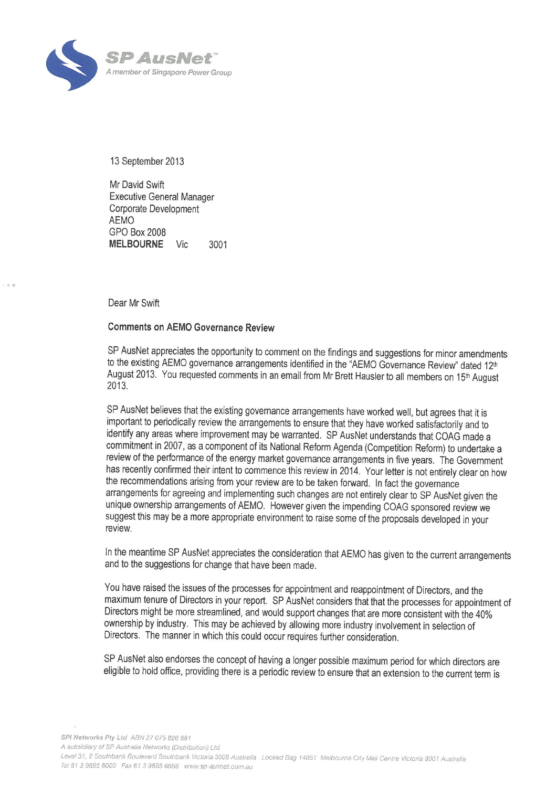

13 September 2013

Mr David Swift Executive General Manager Corporate Development AEMO GPO Box 2008 **MELBOURNE** Vic 3001

Dear Mr Swift

..

## **Comments on AEMO Governance Review**

SP AusNet appreciates the opportunity to comment on the findings and suggestions for minor amendments to the existing AEMO governance arrangements identified in the "AEMO Governance Review" dated 12<sup>th</sup> August 2013. You requested comments in an email from Mr Brett Hausler to all members on 15<sup>th</sup> August 2013.

SP AusNet believes that the existing governance arrangements have worked well, but agrees that it is important to periodically review the arrangements to ensure that they have worked satisfactorily and to identify any areas where improvement may be warranted. SP AusNet understands that COAG made a commitment in 2007, as a component of its National Reform Agenda (Competition Reform) to undertake a review of the performance of the energy market governance arrangements in five years. The Government has recently confirmed their intent to commence this review in 2014. Your letter is not entirely clear on how the recommendations arising from your review are to be taken forward. In fact the governance arrangements for agreeing and implementing such changes are not entirely clear to SP AusNet given the unique ownership arrangements of AEMO. However given the impending COAG sponsored review we suggest this may be a more appropriate environment to raise some of the proposals developed in your review.

In the meantime SP AusNet appreciates the consideration that AEMO has given to the current arrangements and to the suggestions for change that have been made.

You have raised the issues of the processes for appointment and reappointment of Directors, and the maximum tenure of Directors in your report. SP AusNet considers that that the processes for appointment of Directors might be more streamlined, and would support changes that are more consistent with the 40% ownership by industry. This may be achieved by allowing more industry involvement in selection of Directors. The manner in which this could occur requires further consideration.

SP AusNet also endorses the concept of having a longer possible maximum period for which directors are eligible to hold office, providing there is a periodic review to ensure that an extension to the current term is

SPI Networks Pty Ltd ABN 27 075 826 881

A subsidiary of SP Australia Networks (Distribution) Ltd

Level 31, 2 Southbank Boulevard Southbank Victoria 3006 Australia Locked Bag 14051 Melbourne City Mail Centre Victoria 8001 Australia Tel 61 3 9695 6000 Fax 61 3 9695 6666 www.sp-ausnet.com.au